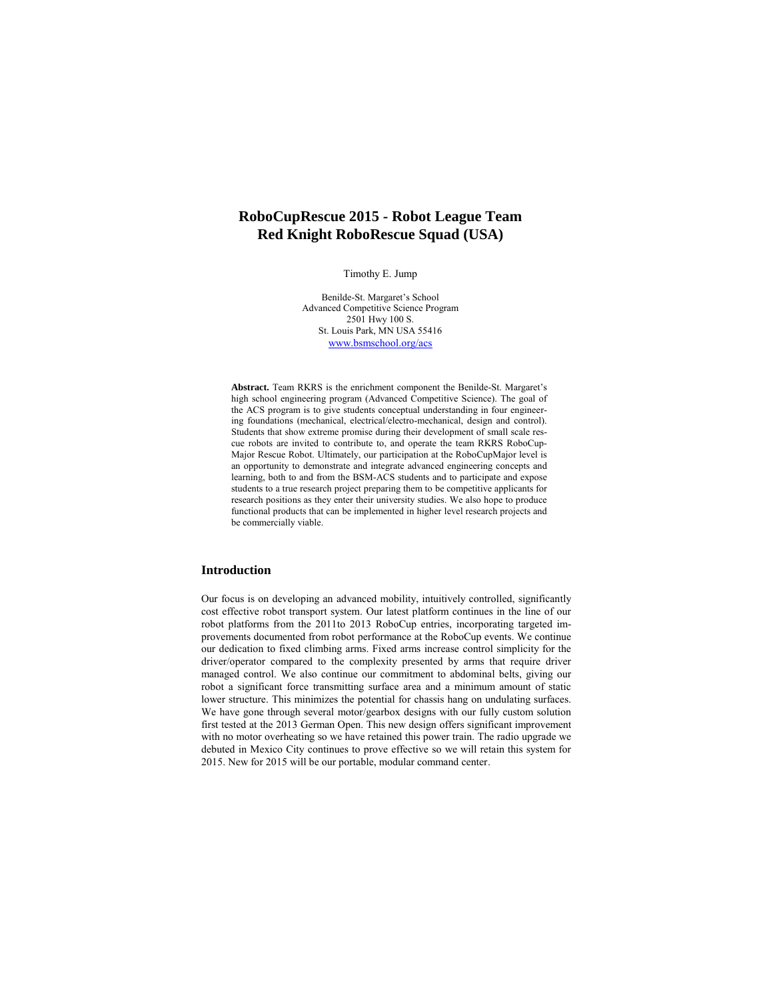# **RoboCupRescue 2015 - Robot League Team Red Knight RoboRescue Squad (USA)**

Timothy E. Jump

Benilde-St. Margaret's School Advanced Competitive Science Program 2501 Hwy 100 S. St. Louis Park, MN USA 55416 www.bsmschool.org/acs

**Abstract.** Team RKRS is the enrichment component the Benilde-St. Margaret's high school engineering program (Advanced Competitive Science). The goal of the ACS program is to give students conceptual understanding in four engineering foundations (mechanical, electrical/electro-mechanical, design and control). Students that show extreme promise during their development of small scale rescue robots are invited to contribute to, and operate the team RKRS RoboCup-Major Rescue Robot. Ultimately, our participation at the RoboCupMajor level is an opportunity to demonstrate and integrate advanced engineering concepts and learning, both to and from the BSM-ACS students and to participate and expose students to a true research project preparing them to be competitive applicants for research positions as they enter their university studies. We also hope to produce functional products that can be implemented in higher level research projects and be commercially viable.

## **Introduction**

Our focus is on developing an advanced mobility, intuitively controlled, significantly cost effective robot transport system. Our latest platform continues in the line of our robot platforms from the 2011to 2013 RoboCup entries, incorporating targeted improvements documented from robot performance at the RoboCup events. We continue our dedication to fixed climbing arms. Fixed arms increase control simplicity for the driver/operator compared to the complexity presented by arms that require driver managed control. We also continue our commitment to abdominal belts, giving our robot a significant force transmitting surface area and a minimum amount of static lower structure. This minimizes the potential for chassis hang on undulating surfaces. We have gone through several motor/gearbox designs with our fully custom solution first tested at the 2013 German Open. This new design offers significant improvement with no motor overheating so we have retained this power train. The radio upgrade we debuted in Mexico City continues to prove effective so we will retain this system for 2015. New for 2015 will be our portable, modular command center.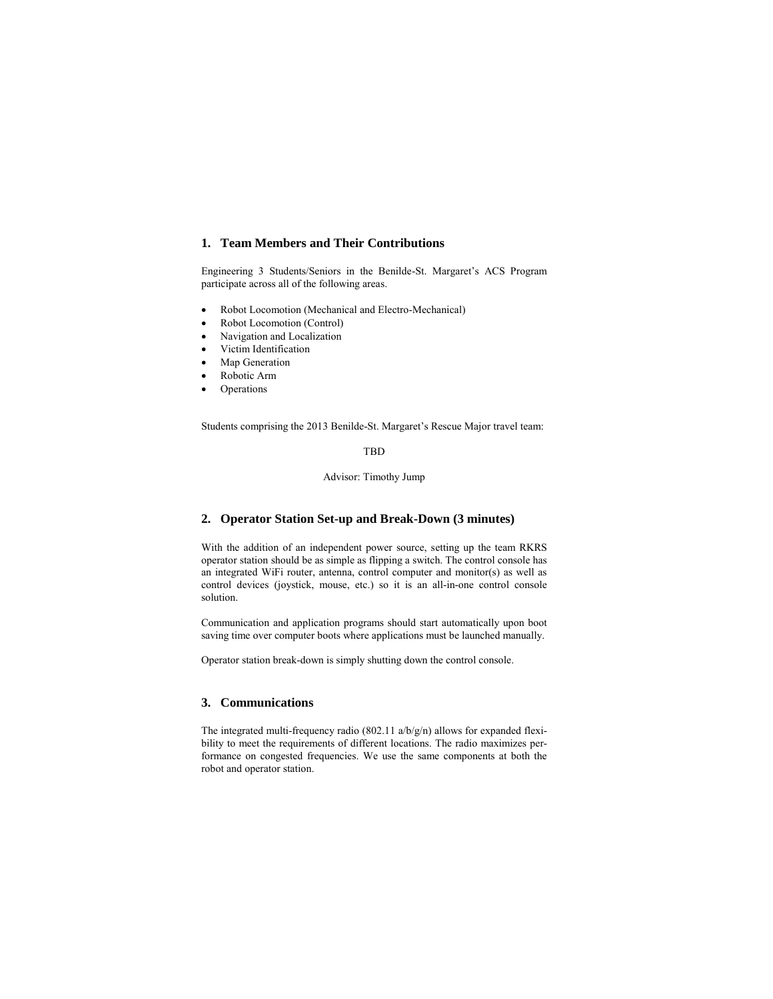## **1. Team Members and Their Contributions**

Engineering 3 Students/Seniors in the Benilde-St. Margaret's ACS Program participate across all of the following areas.

- Robot Locomotion (Mechanical and Electro-Mechanical)
- Robot Locomotion (Control)
- Navigation and Localization
- Victim Identification
- Map Generation
- Robotic Arm
- Operations

Students comprising the 2013 Benilde-St. Margaret's Rescue Major travel team:

### TBD

#### Advisor: Timothy Jump

# **2. Operator Station Set-up and Break-Down (3 minutes)**

With the addition of an independent power source, setting up the team RKRS operator station should be as simple as flipping a switch. The control console has an integrated WiFi router, antenna, control computer and monitor(s) as well as control devices (joystick, mouse, etc.) so it is an all-in-one control console solution.

Communication and application programs should start automatically upon boot saving time over computer boots where applications must be launched manually.

Operator station break-down is simply shutting down the control console.

#### **3. Communications**

The integrated multi-frequency radio (802.11  $a/b/g/n$ ) allows for expanded flexibility to meet the requirements of different locations. The radio maximizes performance on congested frequencies. We use the same components at both the robot and operator station.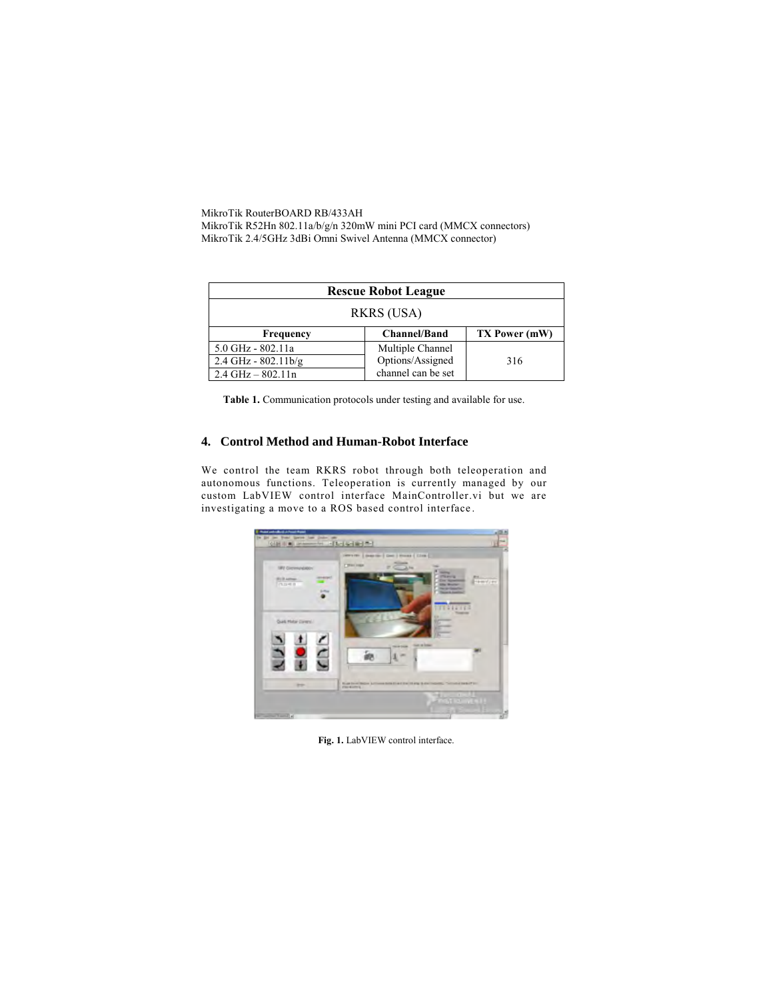MikroTik RouterBOARD RB/433AH MikroTik R52Hn 802.11a/b/g/n 320mW mini PCI card (MMCX connectors) MikroTik 2.4/5GHz 3dBi Omni Swivel Antenna (MMCX connector)

| <b>Rescue Robot League</b>                        |                    |     |  |  |
|---------------------------------------------------|--------------------|-----|--|--|
| <b>RKRS (USA)</b>                                 |                    |     |  |  |
| <b>Channel/Band</b><br>TX Power (mW)<br>Frequency |                    |     |  |  |
| 5.0 GHz - 802.11a                                 | Multiple Channel   |     |  |  |
| $2.4$ GHz - $802.11$ b/g                          | Options/Assigned   | 316 |  |  |
| $2.4$ GHz $-$ 802.11n                             | channel can be set |     |  |  |

**Table 1.** Communication protocols under testing and available for use.

### **4. Control Method and Human-Robot Interface**

We control the team RKRS robot through both teleoperation and autonomous functions. Teleoperation is currently managed by our custom LabVIEW control interface MainController.vi but we are investigating a move to a ROS based control interface .



**Fig. 1.** LabVIEW control interface.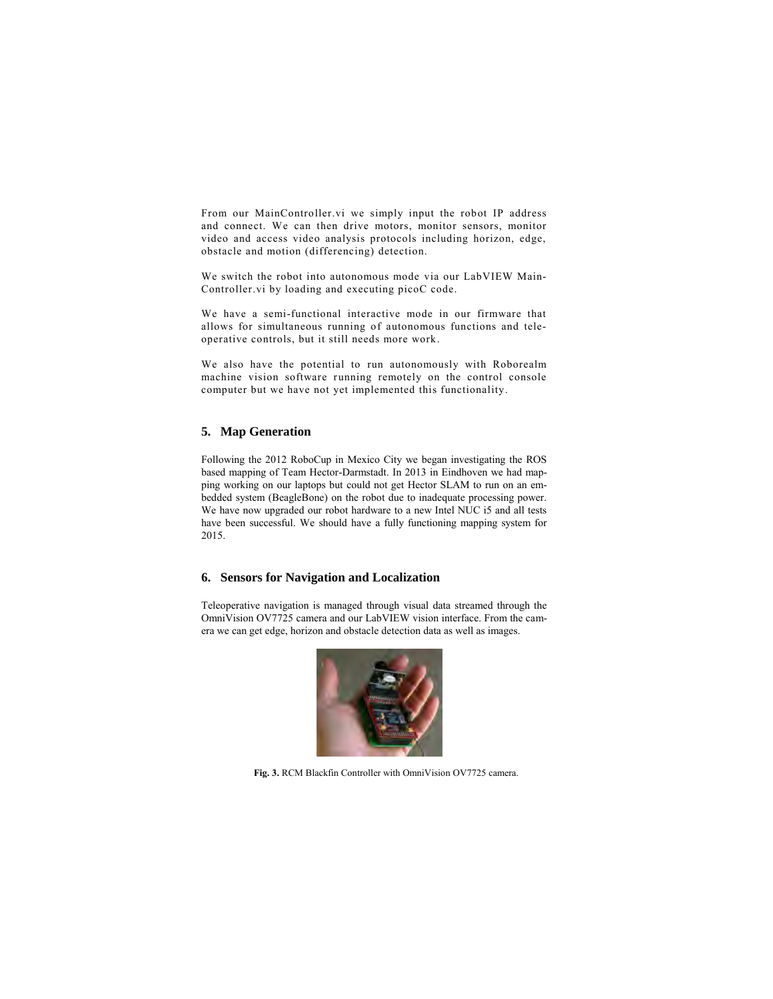From our MainController.vi we simply input the robot IP address and connect. We can then drive motors, monitor sensors, monitor video and access video analysis protocols including horizon, edge, obstacle and motion (differencing) detection.

We switch the robot into autonomous mode via our LabVIEW Main-Controller.vi by loading and executing picoC code.

We have a semi-functional interactive mode in our firmware that allows for simultaneous running of autonomous functions and teleoperative controls, but it still needs more work.

We also have the potential to run autonomously with Roborealm machine vision software running remotely on the control console computer but we have not yet implemented this functionality.

# **5. Map Generation**

Following the 2012 RoboCup in Mexico City we began investigating the ROS based mapping of Team Hector-Darmstadt. In 2013 in Eindhoven we had mapping working on our laptops but could not get Hector SLAM to run on an embedded system (BeagleBone) on the robot due to inadequate processing power. We have now upgraded our robot hardware to a new Intel NUC i5 and all tests have been successful. We should have a fully functioning mapping system for 2015.

#### **6. Sensors for Navigation and Localization**

Teleoperative navigation is managed through visual data streamed through the OmniVision OV7725 camera and our LabVIEW vision interface. From the camera we can get edge, horizon and obstacle detection data as well as images.



**Fig. 3.** RCM Blackfin Controller with OmniVision OV7725 camera.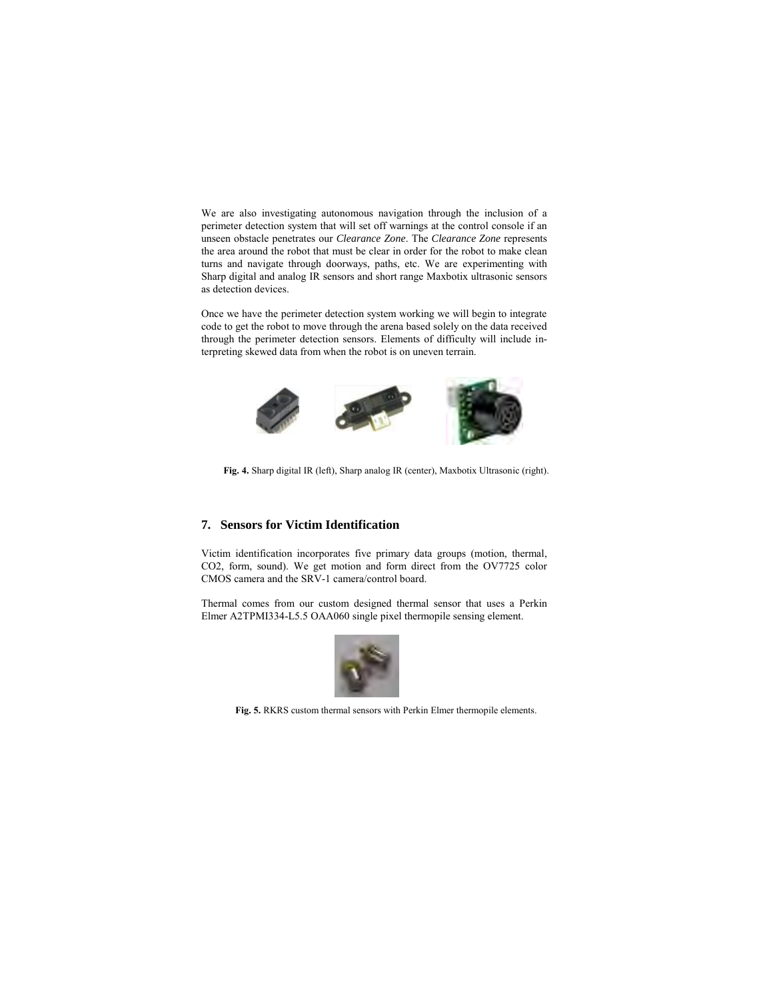We are also investigating autonomous navigation through the inclusion of a perimeter detection system that will set off warnings at the control console if an unseen obstacle penetrates our *Clearance Zone*. The *Clearance Zone* represents the area around the robot that must be clear in order for the robot to make clean turns and navigate through doorways, paths, etc. We are experimenting with Sharp digital and analog IR sensors and short range Maxbotix ultrasonic sensors as detection devices.

Once we have the perimeter detection system working we will begin to integrate code to get the robot to move through the arena based solely on the data received through the perimeter detection sensors. Elements of difficulty will include interpreting skewed data from when the robot is on uneven terrain.



**Fig. 4.** Sharp digital IR (left), Sharp analog IR (center), Maxbotix Ultrasonic (right).

# **7. Sensors for Victim Identification**

Victim identification incorporates five primary data groups (motion, thermal, CO2, form, sound). We get motion and form direct from the OV7725 color CMOS camera and the SRV-1 camera/control board.

Thermal comes from our custom designed thermal sensor that uses a Perkin Elmer A2TPMI334-L5.5 OAA060 single pixel thermopile sensing element.



**Fig. 5.** RKRS custom thermal sensors with Perkin Elmer thermopile elements.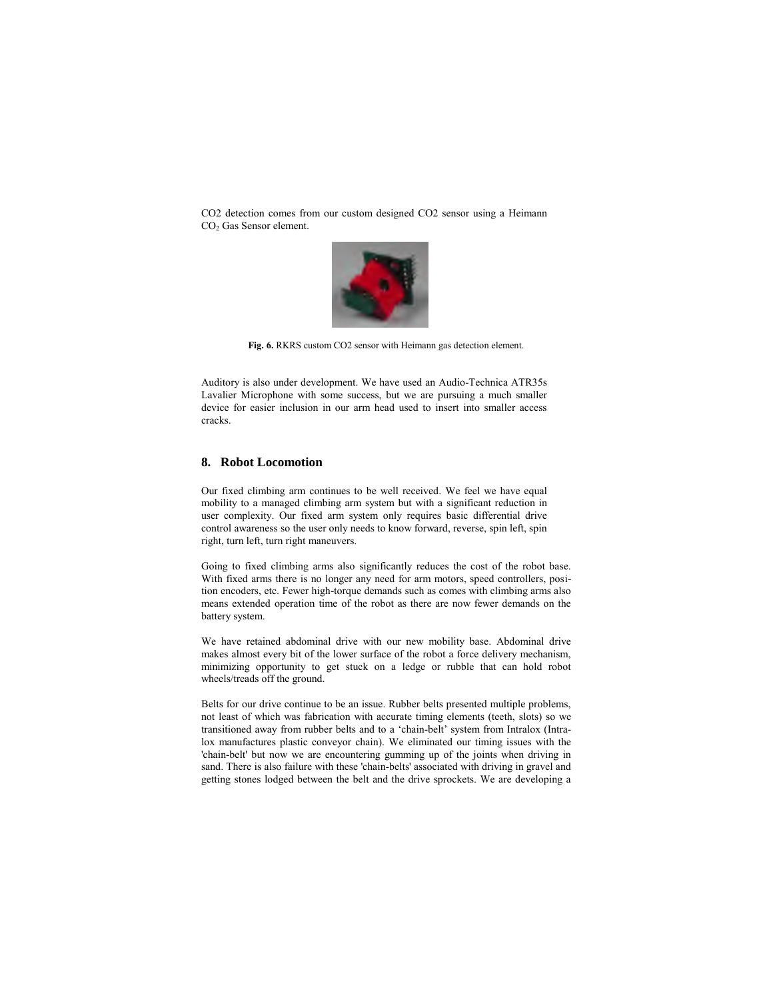CO2 detection comes from our custom designed CO2 sensor using a Heimann CO2 Gas Sensor element.



**Fig. 6.** RKRS custom CO2 sensor with Heimann gas detection element.

Auditory is also under development. We have used an Audio-Technica ATR35s Lavalier Microphone with some success, but we are pursuing a much smaller device for easier inclusion in our arm head used to insert into smaller access cracks.

#### **8. Robot Locomotion**

Our fixed climbing arm continues to be well received. We feel we have equal mobility to a managed climbing arm system but with a significant reduction in user complexity. Our fixed arm system only requires basic differential drive control awareness so the user only needs to know forward, reverse, spin left, spin right, turn left, turn right maneuvers.

Going to fixed climbing arms also significantly reduces the cost of the robot base. With fixed arms there is no longer any need for arm motors, speed controllers, position encoders, etc. Fewer high-torque demands such as comes with climbing arms also means extended operation time of the robot as there are now fewer demands on the battery system.

We have retained abdominal drive with our new mobility base. Abdominal drive makes almost every bit of the lower surface of the robot a force delivery mechanism, minimizing opportunity to get stuck on a ledge or rubble that can hold robot wheels/treads off the ground.

Belts for our drive continue to be an issue. Rubber belts presented multiple problems, not least of which was fabrication with accurate timing elements (teeth, slots) so we transitioned away from rubber belts and to a 'chain-belt' system from Intralox (Intralox manufactures plastic conveyor chain). We eliminated our timing issues with the 'chain-belt' but now we are encountering gumming up of the joints when driving in sand. There is also failure with these 'chain-belts' associated with driving in gravel and getting stones lodged between the belt and the drive sprockets. We are developing a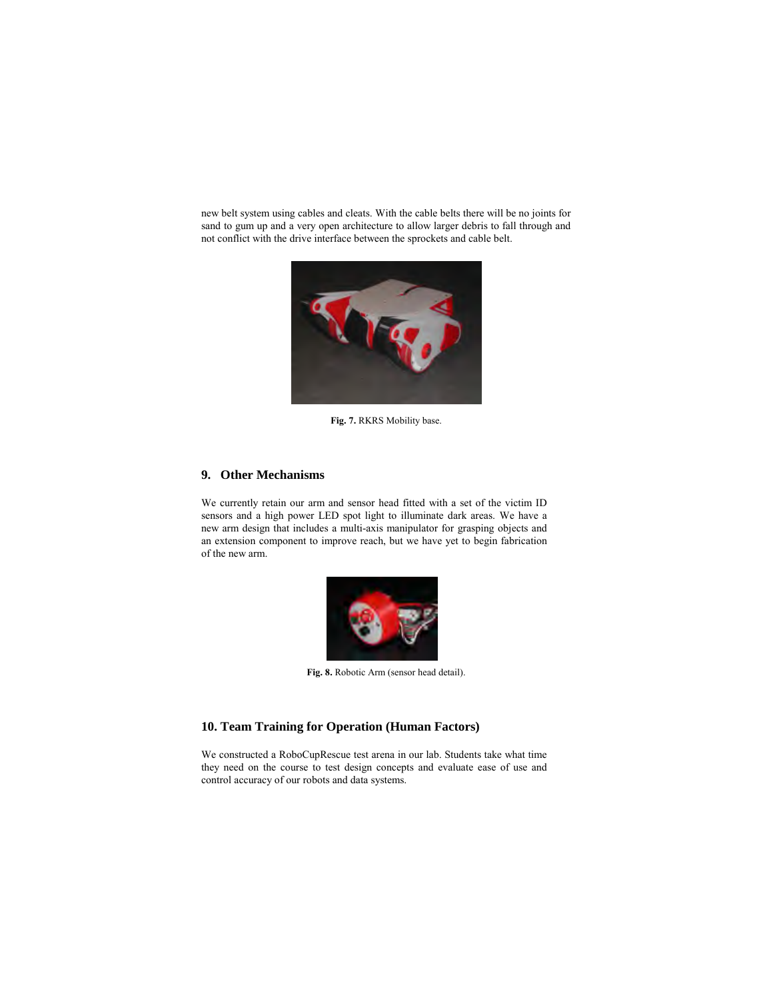new belt system using cables and cleats. With the cable belts there will be no joints for sand to gum up and a very open architecture to allow larger debris to fall through and not conflict with the drive interface between the sprockets and cable belt.



**Fig. 7.** RKRS Mobility base.

## **9. Other Mechanisms**

We currently retain our arm and sensor head fitted with a set of the victim ID sensors and a high power LED spot light to illuminate dark areas. We have a new arm design that includes a multi-axis manipulator for grasping objects and an extension component to improve reach, but we have yet to begin fabrication of the new arm.



**Fig. 8.** Robotic Arm (sensor head detail).

#### **10. Team Training for Operation (Human Factors)**

We constructed a RoboCupRescue test arena in our lab. Students take what time they need on the course to test design concepts and evaluate ease of use and control accuracy of our robots and data systems.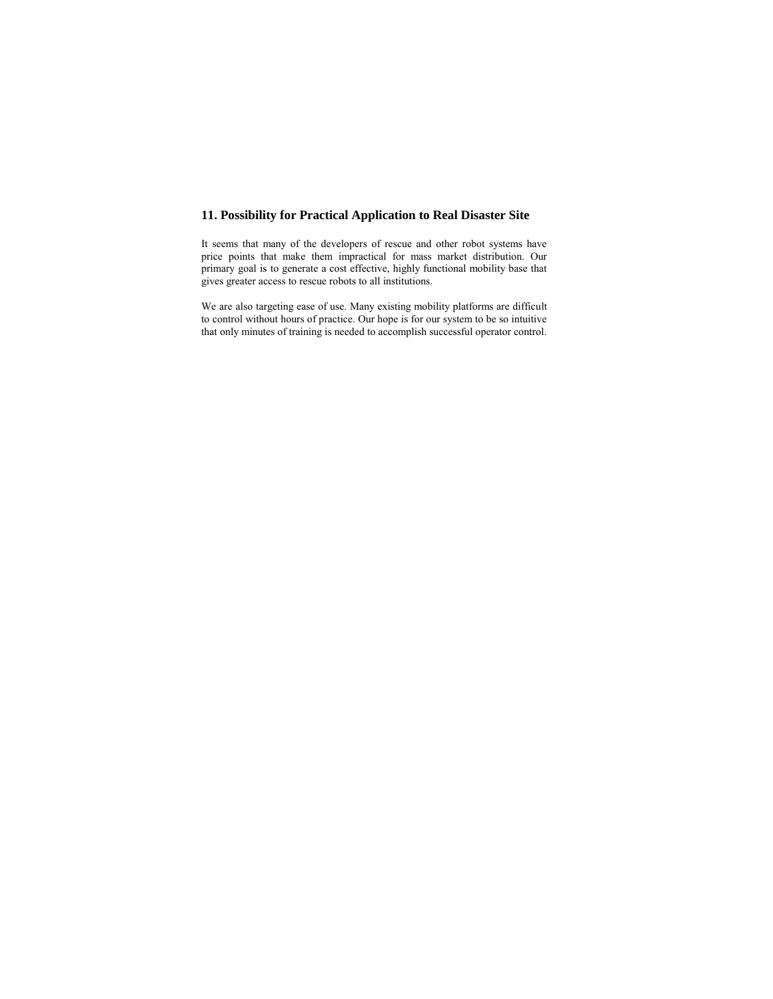# **11. Possibility for Practical Application to Real Disaster Site**

It seems that many of the developers of rescue and other robot systems have price points that make them impractical for mass market distribution. Our primary goal is to generate a cost effective, highly functional mobility base that gives greater access to rescue robots to all institutions.

We are also targeting ease of use. Many existing mobility platforms are difficult to control without hours of practice. Our hope is for our system to be so intuitive that only minutes of training is needed to accomplish successful operator control.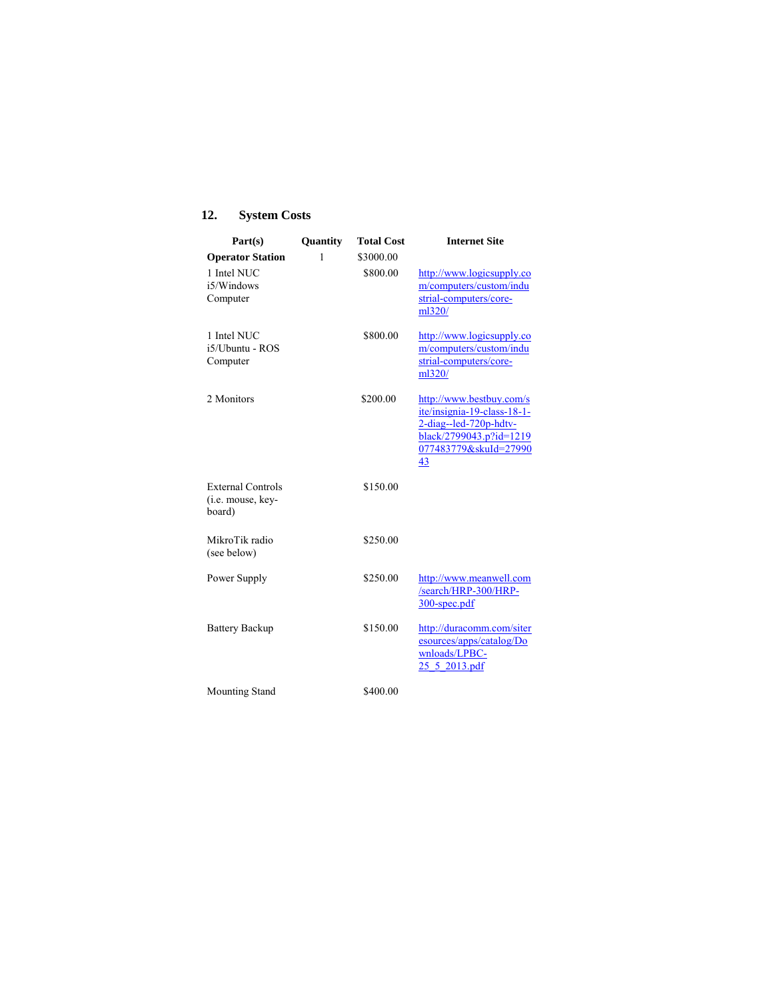# **12. System Costs**

| Part(s)                                                 | Quantity | <b>Total Cost</b> | <b>Internet Site</b>                                                                                                                        |
|---------------------------------------------------------|----------|-------------------|---------------------------------------------------------------------------------------------------------------------------------------------|
| <b>Operator Station</b>                                 | 1        | \$3000.00         |                                                                                                                                             |
| 1 Intel NUC<br>i5/Windows<br>Computer                   |          | \$800.00          | http://www.logicsupply.co<br>m/computers/custom/indu<br>strial-computers/core-<br>ml320/                                                    |
| 1 Intel NUC<br>i5/Ubuntu - ROS<br>Computer              |          | \$800.00          | http://www.logicsupply.co<br>m/computers/custom/indu<br>strial-computers/core-<br>ml320/                                                    |
| 2 Monitors                                              |          | \$200.00          | http://www.bestbuy.com/s<br>ite/insignia-19-class-18-1-<br>2-diag--led-720p-hdtv-<br>black/2799043.p?id=1219<br>077483779&skuId=27990<br>43 |
| <b>External Controls</b><br>(i.e. mouse, key-<br>board) |          | \$150.00          |                                                                                                                                             |
| MikroTik radio<br>(see below)                           |          | \$250.00          |                                                                                                                                             |
| Power Supply                                            |          | \$250.00          | http://www.meanwell.com<br>/search/HRP-300/HRP-<br>300-spec.pdf                                                                             |
| <b>Battery Backup</b>                                   |          | \$150.00          | http://duracomm.com/siter<br>esources/apps/catalog/Do<br>wnloads/LPBC-<br>25 5 2013.pdf                                                     |
| <b>Mounting Stand</b>                                   |          | \$400.00          |                                                                                                                                             |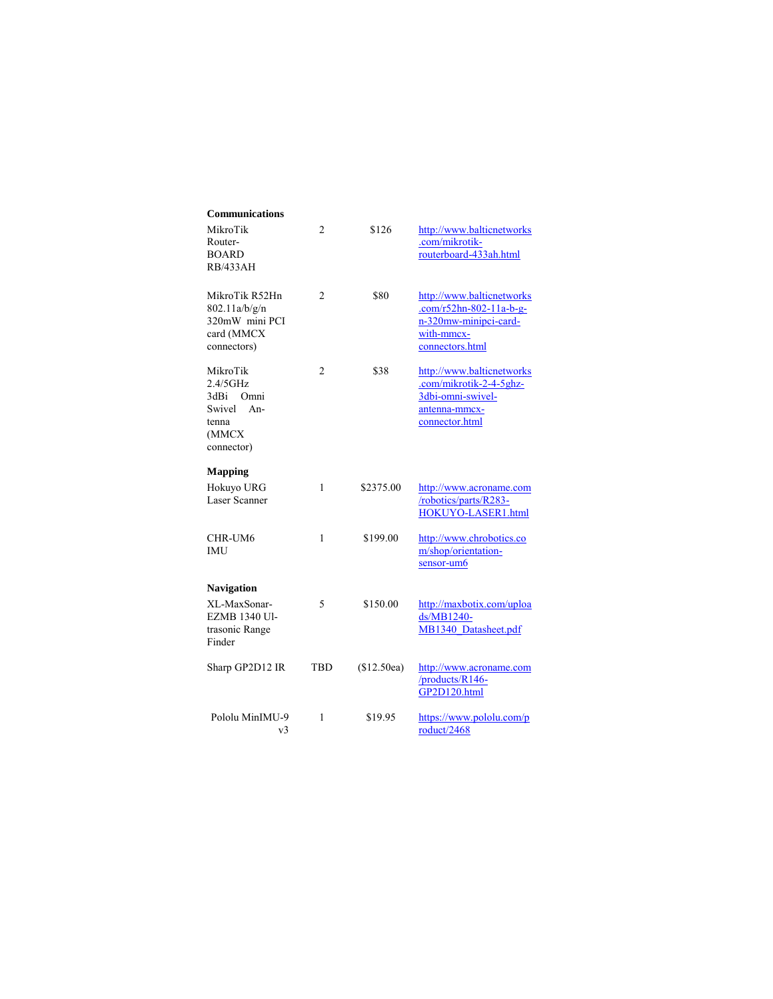| Communications                                                                          |                |             |                                                                                                                  |
|-----------------------------------------------------------------------------------------|----------------|-------------|------------------------------------------------------------------------------------------------------------------|
| MikroTik<br>Router-<br><b>BOARD</b><br><b>RB/433AH</b>                                  | 2              | \$126       | http://www.balticnetworks<br>.com/mikrotik-<br>routerboard-433ah.html                                            |
| MikroTik R52Hn<br>802.11a/b/g/n<br>320mW mini PCI<br>card (MMCX<br>connectors)          | $\overline{c}$ | \$80        | http://www.balticnetworks<br>$.com/r52hn-802-11a-b-g-$<br>n-320mw-minipci-card-<br>with-mmcx-<br>connectors.html |
| MikroTik<br>2.4/5GHz<br>3dBi<br>Omni<br>Swivel<br>$An-$<br>tenna<br>(MMCX<br>connector) | 2              | \$38        | http://www.balticnetworks<br>.com/mikrotik-2-4-5ghz-<br>3dbi-omni-swivel-<br>antenna-mmcx-<br>connector.html     |
| <b>Mapping</b>                                                                          |                |             |                                                                                                                  |
| Hokuyo URG<br>Laser Scanner                                                             | 1              | \$2375.00   | http://www.acroname.com<br>/robotics/parts/R283-<br>HOKUYO-LASER1.html                                           |
| CHR-UM6<br>IMU                                                                          | 1              | \$199.00    | http://www.chrobotics.co<br>m/shop/orientation-<br>sensor-um6                                                    |
| <b>Navigation</b>                                                                       |                |             |                                                                                                                  |
| XL-MaxSonar-<br>EZMB 1340 Ul-<br>trasonic Range<br>Finder                               | 5              | \$150.00    | http://maxbotix.com/uploa<br>ds/MB1240-<br>MB1340 Datasheet.pdf                                                  |
| Sharp GP2D12 IR                                                                         | TBD            | (\$12.50ea) | http://www.acroname.com<br>/products/R146-<br>GP2D120.html                                                       |
| Pololu MinIMU-9<br>v3                                                                   | 1              | \$19.95     | https://www.pololu.com/p<br>roduct/2468                                                                          |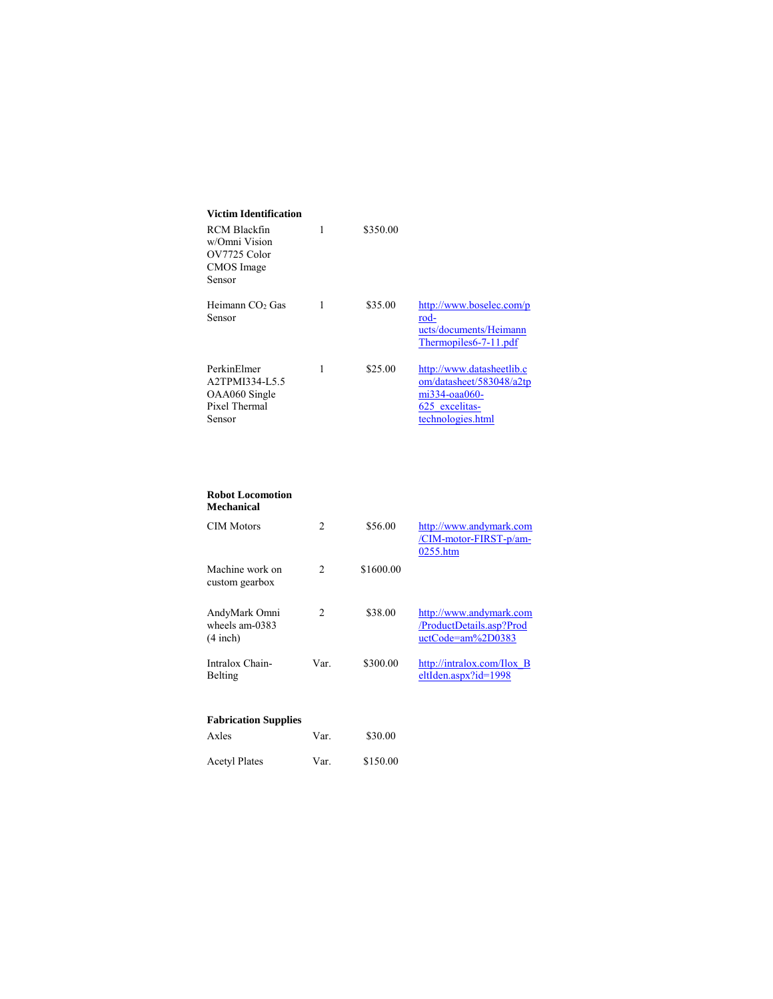| 1 | \$350.00 |                                                                                                                      |
|---|----------|----------------------------------------------------------------------------------------------------------------------|
| 1 | \$35.00  | http://www.boselec.com/p<br>rod-<br>ucts/documents/Heimann<br>Thermopiles6-7-11.pdf                                  |
| 1 | \$25.00  | http://www.datasheetlib.c<br>om/datasheet/583048/a2tp<br>$m1334$ -oaa $060$ -<br>625 excelitas-<br>technologies.html |
|   |          |                                                                                                                      |

#### **Robot Locomotion Mechanical**

| <b>CIM Motors</b>                             | $\mathfrak{D}$ | \$56.00   | http://www.andymark.com<br>/CIM-motor-FIRST-p/am-<br>0255.htm               |
|-----------------------------------------------|----------------|-----------|-----------------------------------------------------------------------------|
| Machine work on<br>custom gearbox             | 2              | \$1600.00 |                                                                             |
| AndyMark Omni<br>wheels am-0383<br>$(4$ inch) | 2              | \$38.00   | http://www.andymark.com<br>/ProductDetails.asp?Prod<br>$uctCode=am\%2D0383$ |
| Intralox Chain-<br>Belting                    | Var.           | \$300.00  | http://intralox.com/Ilox $\overline{B}$<br>$eltIden.aspx?id=1998$           |
| <b>Fabrication Supplies</b>                   |                |           |                                                                             |
| Axles                                         | Var.           | \$30.00   |                                                                             |
| <b>Acetyl Plates</b>                          | Var.           | \$150.00  |                                                                             |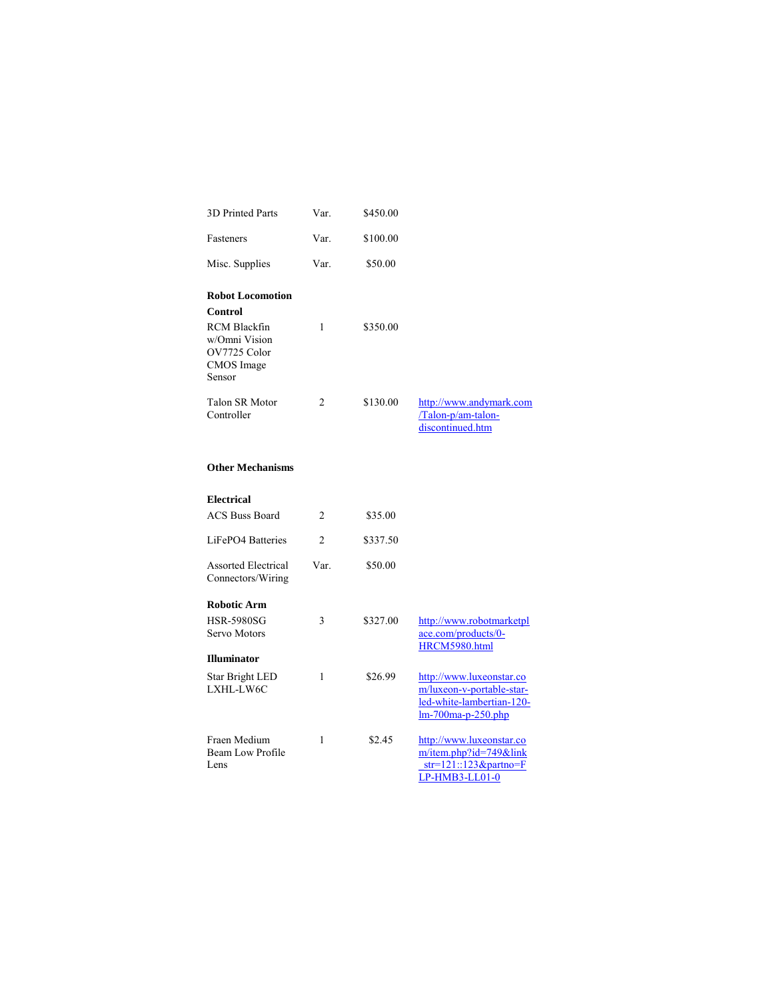| 3D Printed Parts                                                                                            | Var.           | \$450.00 |                                                                   |
|-------------------------------------------------------------------------------------------------------------|----------------|----------|-------------------------------------------------------------------|
| Fasteners                                                                                                   | Var.           | \$100.00 |                                                                   |
| Misc. Supplies                                                                                              | Var.           | \$50.00  |                                                                   |
| <b>Robot Locomotion</b><br>Control<br>RCM Blackfin<br>w/Omni Vision<br>OV7725 Color<br>CMOS Image<br>Sensor | 1              | \$350.00 |                                                                   |
| <b>Talon SR Motor</b><br>Controller                                                                         | $\mathfrak{D}$ | \$130.00 | http://www.andymark.com<br>/Talon-p/am-talon-<br>discontinued.htm |

### **Other Mechanisms**

| <b>Electrical</b>                               |                |          |                                                                                                            |
|-------------------------------------------------|----------------|----------|------------------------------------------------------------------------------------------------------------|
| <b>ACS Buss Board</b>                           | 2              | \$35.00  |                                                                                                            |
| LiFePO <sub>4</sub> Batteries                   | $\overline{c}$ | \$337.50 |                                                                                                            |
| <b>Assorted Electrical</b><br>Connectors/Wiring | Var.           | \$50.00  |                                                                                                            |
| <b>Robotic Arm</b>                              |                |          |                                                                                                            |
| HSR-5980SG<br>Servo Motors                      | 3              | \$327.00 | http://www.robotmarketpl<br>ace.com/products/0-<br>HRCM5980.html                                           |
| <b>Illuminator</b>                              |                |          |                                                                                                            |
| Star Bright LED<br>LXHL-LW6C                    | 1              | \$26.99  | http://www.luxeonstar.co<br>m/luxeon-v-portable-star-<br>led-white-lambertian-120-<br>$lm-700ma-p-250.php$ |
| Fraen Medium<br>Beam Low Profile<br>Lens        | 1              | \$2.45   | http://www.luxeonstar.co<br>$m/item.php$ ?id=749&link<br>$str=121::123\&partno=F$<br>LP-HMB3-LL01-0        |